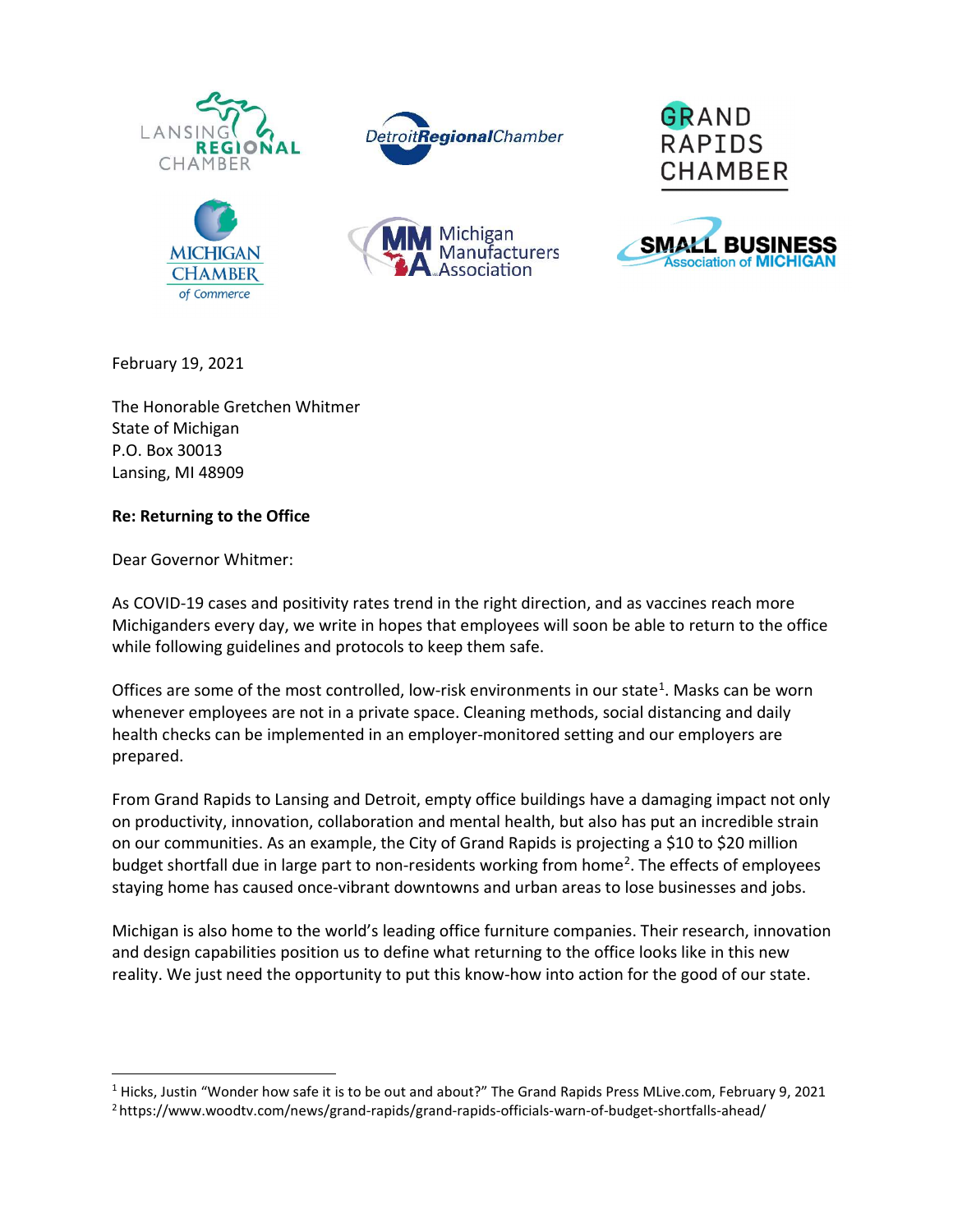











February 19, 2021

The Honorable Gretchen Whitmer State of Michigan P.O. Box 30013 Lansing, MI 48909

## Re: Returning to the Office

Dear Governor Whitmer:

As COVID-19 cases and positivity rates trend in the right direction, and as vaccines reach more Michiganders every day, we write in hopes that employees will soon be able to return to the office while following guidelines and protocols to keep them safe.

Offices are some of the most controlled, low-risk environments in our state<sup>1</sup>. Masks can be worn whenever employees are not in a private space. Cleaning methods, social distancing and daily health checks can be implemented in an employer-monitored setting and our employers are prepared.

From Grand Rapids to Lansing and Detroit, empty office buildings have a damaging impact not only on productivity, innovation, collaboration and mental health, but also has put an incredible strain on our communities. As an example, the City of Grand Rapids is projecting a \$10 to \$20 million budget shortfall due in large part to non-residents working from home<sup>2</sup>. The effects of employees staying home has caused once-vibrant downtowns and urban areas to lose businesses and jobs.

Michigan is also home to the world's leading office furniture companies. Their research, innovation and design capabilities position us to define what returning to the office looks like in this new reality. We just need the opportunity to put this know-how into action for the good of our state.

<sup>&</sup>lt;sup>1</sup> Hicks, Justin "Wonder how safe it is to be out and about?" The Grand Rapids Press MLive.com, February 9, 2021

<sup>2</sup> https://www.woodtv.com/news/grand-rapids/grand-rapids-officials-warn-of-budget-shortfalls-ahead/